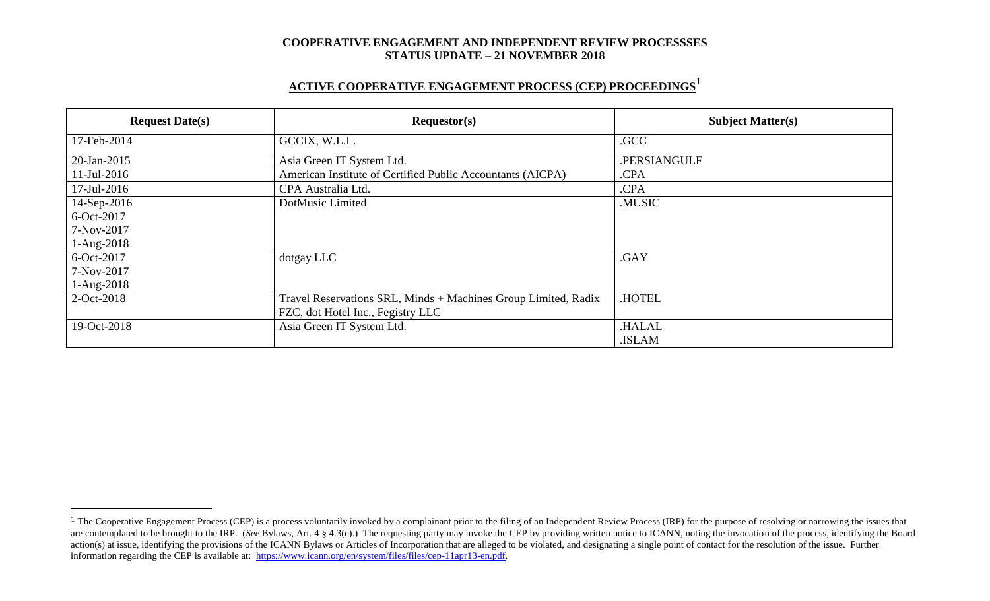# **ACTIVE COOPERATIVE ENGAGEMENT PROCESS (CEP) PROCEEDINGS** 1

| <b>Request Date(s)</b> | Requestor(s)                                                   | <b>Subject Matter(s)</b> |  |
|------------------------|----------------------------------------------------------------|--------------------------|--|
| 17-Feb-2014            | GCCIX, W.L.L.                                                  | .GCC                     |  |
| 20-Jan-2015            | Asia Green IT System Ltd.                                      | .PERSIANGULF             |  |
| $11$ -Jul-2016         | American Institute of Certified Public Accountants (AICPA)     | .CPA                     |  |
| 17-Jul-2016            | CPA Australia Ltd.                                             | .CPA                     |  |
| 14-Sep-2016            | DotMusic Limited                                               | .MUSIC                   |  |
| 6-Oct-2017             |                                                                |                          |  |
| 7-Nov-2017             |                                                                |                          |  |
| $1-Aug-2018$           |                                                                |                          |  |
| 6-Oct-2017             | dotgay LLC                                                     | .GAY                     |  |
| 7-Nov-2017             |                                                                |                          |  |
| $1-Aug-2018$           |                                                                |                          |  |
| 2-Oct-2018             | Travel Reservations SRL, Minds + Machines Group Limited, Radix | .HOTEL                   |  |
|                        | FZC, dot Hotel Inc., Fegistry LLC                              |                          |  |
| 19-Oct-2018            | Asia Green IT System Ltd.                                      | <b>HALAL</b>             |  |
|                        |                                                                | .ISLAM                   |  |

 $\overline{a}$ 

<sup>&</sup>lt;sup>1</sup> The Cooperative Engagement Process (CEP) is a process voluntarily invoked by a complainant prior to the filing of an Independent Review Process (IRP) for the purpose of resolving or narrowing the issues that are contemplated to be brought to the IRP. (*See* Bylaws, Art. 4 § 4.3(e).) The requesting party may invoke the CEP by providing written notice to ICANN, noting the invocation of the process, identifying the Board action(s) at issue, identifying the provisions of the ICANN Bylaws or Articles of Incorporation that are alleged to be violated, and designating a single point of contact for the resolution of the issue. Further information regarding the CEP is available at: [https://www.icann.org/en/system/files/files/cep-11apr13-en.pdf.](https://www.icann.org/en/system/files/files/cep-11apr13-en.pdf)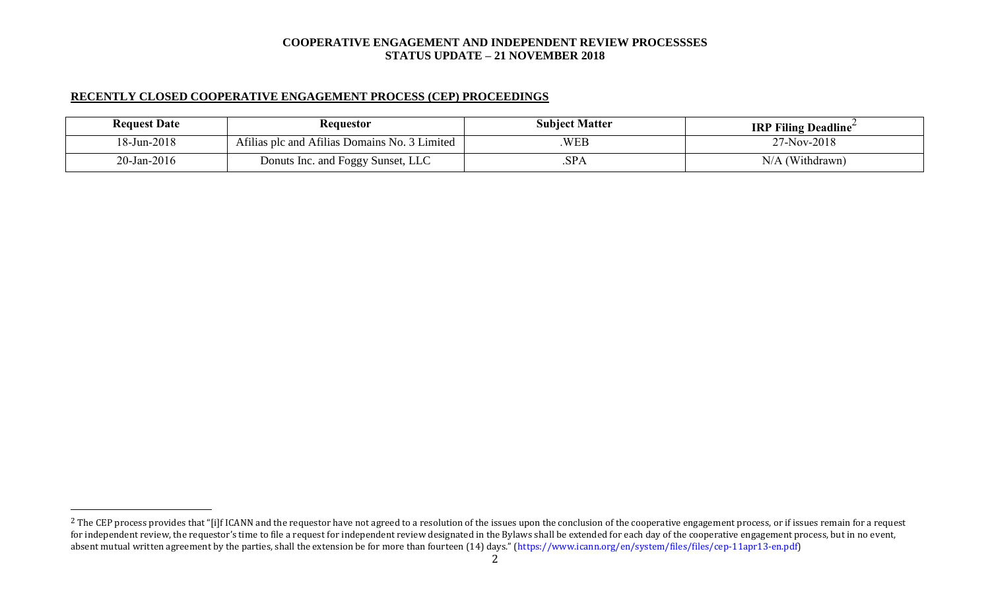# **RECENTLY CLOSED COOPERATIVE ENGAGEMENT PROCESS (CEP) PROCEEDINGS**

 $\overline{a}$ 

| <b>Request Date</b> | Requestor                                     | <b>Subject Matter</b> | <b>IRP Filing Deadline</b> |
|---------------------|-----------------------------------------------|-----------------------|----------------------------|
| 18-Jun-2018         | Afilias plc and Afilias Domains No. 3 Limited | <b>WEB</b>            | 27-Nov-2018                |
| $20$ -Jan-2016      | Donuts Inc. and Foggy Sunset, LLC             | .SPA                  | (Withdrawn)<br>N/A         |

<sup>&</sup>lt;sup>2</sup> The CEP process provides that "[i]f ICANN and the requestor have not agreed to a resolution of the issues upon the conclusion of the cooperative engagement process, or if issues remain for a request for independent review, the requestor's time to file a request for independent review designated in the Bylaws shall be extended for each day of the cooperative engagement process, but in no event, absent mutual written agreement by the parties, shall the extension be for more than fourteen (14) days." (https://www.icann.org/en/system/files/files/cep-11apr13-en.pdf)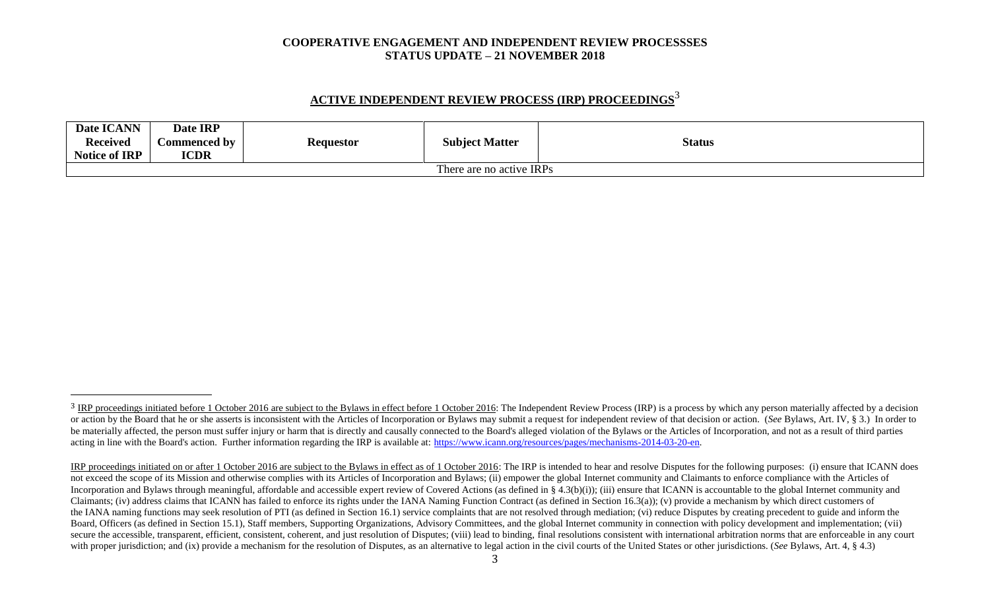# **ACTIVE INDEPENDENT REVIEW PROCESS (IRP) PROCEEDINGS** 3

|                          | Date ICANN<br><b>Received</b><br><b>Notice of IRP</b> | Date IRP<br>Commenced by<br><b>ICDR</b> | <b>Requestor</b> | <b>Subject Matter</b> | <b>Status</b> |
|--------------------------|-------------------------------------------------------|-----------------------------------------|------------------|-----------------------|---------------|
| There are no active IRPs |                                                       |                                         |                  |                       |               |

l

<sup>&</sup>lt;sup>3</sup> IRP proceedings initiated before 1 October 2016 are subject to the Bylaws in effect before 1 October 2016: The Independent Review Process (IRP) is a process by which any person materially affected by a decision or action by the Board that he or she asserts is inconsistent with the Articles of Incorporation or Bylaws may submit a request for independent review of that decision or action. (See Bylaws, Art. IV, § 3.) In order to be materially affected, the person must suffer injury or harm that is directly and causally connected to the Board's alleged violation of the Bylaws or the Articles of Incorporation, and not as a result of third parties acting in line with the Board's action. Further information regarding the IRP is available at: [https://www.icann.org/resources/pages/mechanisms-2014-03-20-en.](https://www.icann.org/resources/pages/mechanisms-2014-03-20-en)

IRP proceedings initiated on or after 1 October 2016 are subject to the Bylaws in effect as of 1 October 2016: The IRP is intended to hear and resolve Disputes for the following purposes: (i) ensure that ICANN does not exceed the scope of its Mission and otherwise complies with its Articles of Incorporation and Bylaws; (ii) empower the global Internet community and Claimants to enforce compliance with the Articles of Incorporation and Bylaws through meaningful, affordable and accessible expert review of Covered Actions (as defined in § 4.3(b)(i)); (iii) ensure that ICANN is accountable to the global Internet community and Claimants; (iv) address claims that ICANN has failed to enforce its rights under the IANA Naming Function Contract (as defined in Section 16.3(a)); (v) provide a mechanism by which direct customers of the IANA naming functions may seek resolution of PTI (as defined in Section 16.1) service complaints that are not resolved through mediation; (vi) reduce Disputes by creating precedent to guide and inform the Board, Officers (as defined in Section 15.1), Staff members, Supporting Organizations, Advisory Committees, and the global Internet community in connection with policy development and implementation; (vii) secure the accessible, transparent, efficient, consistent, coherent, and just resolution of Disputes; (viii) lead to binding, final resolutions consistent with international arbitration norms that are enforceable in any co with proper jurisdiction; and (ix) provide a mechanism for the resolution of Disputes, as an alternative to legal action in the civil courts of the United States or other jurisdictions. (*See* Bylaws, Art. 4, § 4.3)